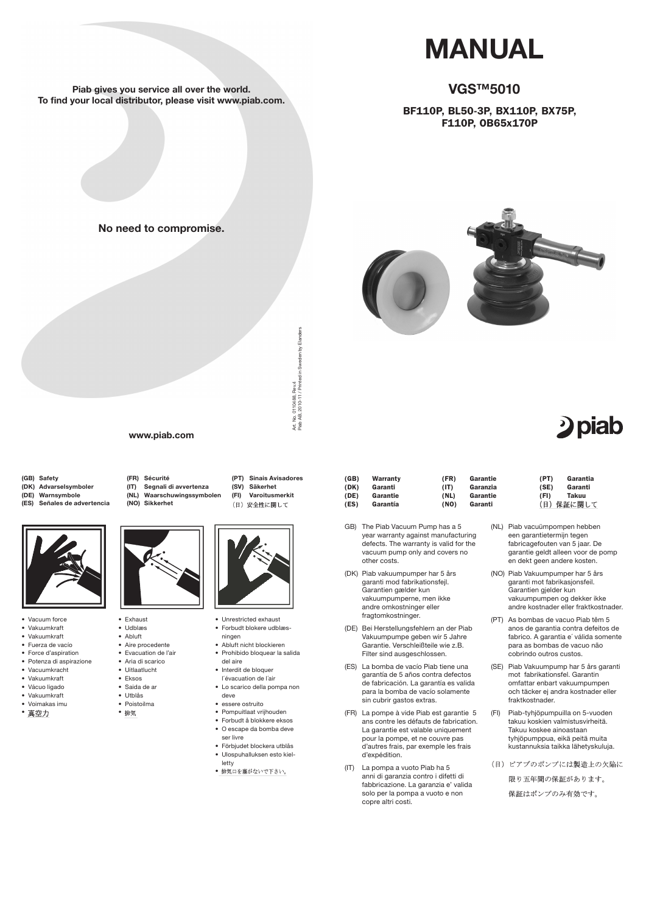(GB) Safety

- (DK) Advarselsymboler
- (DE) Warnsymbole
- (ES) Señales de advertencia



(FR) Sécurité

- (SV) Säkerhet (FI) Varoitusmerkit
	- (日) 安全性に関して

(IT) Segnali di avvertenza (NL) Waarschuwingssymbolen

(NO) Sikkerhet



(PT) Sinais Avisadores



- • Vakuumkraft
- • Voimakas imu
- 真空力
- • Utblås
	- • Poistoilma
	- 排気
- • Unrestricted exhaust
- • Forbudt blokere udblæs-
- ningen • Abluft nicht blockieren
- • Prohibido bloquear la salida del aire
- • Interdit de bloquer l´évacuation de l´air
- Lo scarico della pompa non
- • Vacuum force
- • Vakuumkraft • Vakuumkraft
- • Fuerza de vacío
- • Force d'aspiration
- • Potenza di aspirazione
- • Vacuumkracht
- • Vakuumkraft
- • Vácuo ligado

- • essere ostruito
- • Pompuitlaat vrijhouden
- • Forbudt å blokkere eksos
- • O escape da bomba deve ser livre
- • Förbjudet blockera utblås
- • Ulospuhalluksen esto kielletty
- 排気口を塞がないで下さい。
- • Exhaust
- • Udblæs
- • Abluft
- • Aire procedente
- • Evacuation de l'air
- • Aria di scarico
- • Uitlaatlucht
- • Eksos • Saida de ar

deve

para la bomba de vacío solamente sin cubrir gastos extras.

- (FR) La pompe à vide Piab est garantie 5 ans contre les défauts de fabrication. La garantie est valable uniquement pour la pompe, et ne couvre pas d'autres frais, par exemple les frais d'expédition.
- (IT) La pompa a vuoto Piab ha 5 anni di garanzia contro i difetti di fabbricazione. La garanzia e' valida solo per la pompa a vuoto e non copre altri costi.
- (GB) Warranty (DK) Garanti (DE) Garantie (ES) Garantía (FR) Garantie (IT) Garanzia (NL) Garantie (NO) Garanti
- GB) The Piab Vacuum Pump has a 5 year warranty against manufacturing defects. The warranty is valid for the vacuum pump only and covers no other costs.
- (DK) Piab vakuumpumper har 5 års garanti mod fabrikationsfejl. Garantien gælder kun vakuumpumperne, men ikke andre omkostninger eller fragtomkostninger.
- (DE) Bei Herstellungsfehlern an der Piab Vakuumpumpe geben wir 5 Jahre Garantie. Verschleißteile wie z.B. Filter sind ausgeschlossen.
- (ES) La bomba de vacío Piab tiene una garantía de 5 años contra defectos de fabricación. La garantía es valida

# 2 piab

- (NL) Piab vacuümpompen hebben een garantietermijn tegen fabricagefouten van 5 jaar. De garantie geldt alleen voor de pomp en dekt geen andere kosten.
- (NO) Piab Vakuumpumper har 5 års garanti mot fabrikasjonsfeil. Garantien gjelder kun vakuumpumpen og dekker ikke andre kostnader eller fraktkostnader.
- (PT) As bombas de vacuo Piab têm 5 anos de garantia contra defeitos de fabrico. A garantia e´ válida somente para as bombas de vacuo não cobrindo outros custos.
- (SE) Piab Vakuumpump har 5 års garanti mot fabrikationsfel. Garantin omfattar enbart vakuumpumpen



och täcker ej andra kostnader eller fraktkostnader.

(FI) Piab-tyhjöpumpuilla on 5-vuoden takuu koskien valmistusvirheitä. Takuu koskee ainoastaan tyhjöpumppua, eikä peitä muita kustannuksia taikka lähetyskuluja.

(日) ピアブのポンプには製造上の欠陥に 限り五年間の保証があります。 保証はポンプのみ有効です。

| (PT) | Garantia  |
|------|-----------|
| (SE) | Garanti   |
| (FI) | Takuu     |
|      | (日)保証に関して |

# MANUAL

## VGS™5010

## BF110P, BL50-3P, BX110P, BX75P, F110P, OB65x170P



0110488, Rev.4<br>, 2010-11 / Printed in Sweden by Elanders Piab AB, 2010-11 / Printed in Sweden by Elanders Art. No. 0110488, Rev.4 Art. No. 0<br>Piab AB, 2

Piab gives you service all over the world. To find your local distributor, please visit www.piab.com.

www.piab.com

No need to compromise.